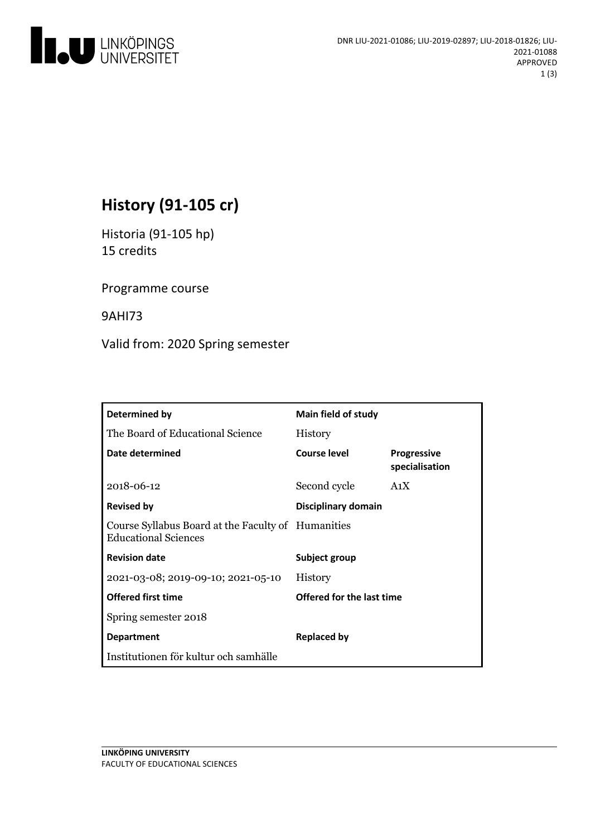

# **History(91-105 cr)**

Historia(91-105 hp) 15 credits

Programme course

9AHI73

Valid from: 2020 Spring semester

| Determined by                                                                     | <b>Main field of study</b> |                                      |
|-----------------------------------------------------------------------------------|----------------------------|--------------------------------------|
| The Board of Educational Science                                                  | <b>History</b>             |                                      |
| Date determined                                                                   | <b>Course level</b>        | <b>Progressive</b><br>specialisation |
| 2018-06-12                                                                        | Second cycle               | A <sub>1</sub> X                     |
| <b>Revised by</b>                                                                 | Disciplinary domain        |                                      |
| Course Syllabus Board at the Faculty of Humanities<br><b>Educational Sciences</b> |                            |                                      |
| <b>Revision date</b>                                                              | Subject group              |                                      |
| 2021-03-08; 2019-09-10; 2021-05-10                                                | <b>History</b>             |                                      |
| <b>Offered first time</b>                                                         | Offered for the last time  |                                      |
| Spring semester 2018                                                              |                            |                                      |
| <b>Department</b>                                                                 | Replaced by                |                                      |
| Institutionen för kultur och samhälle                                             |                            |                                      |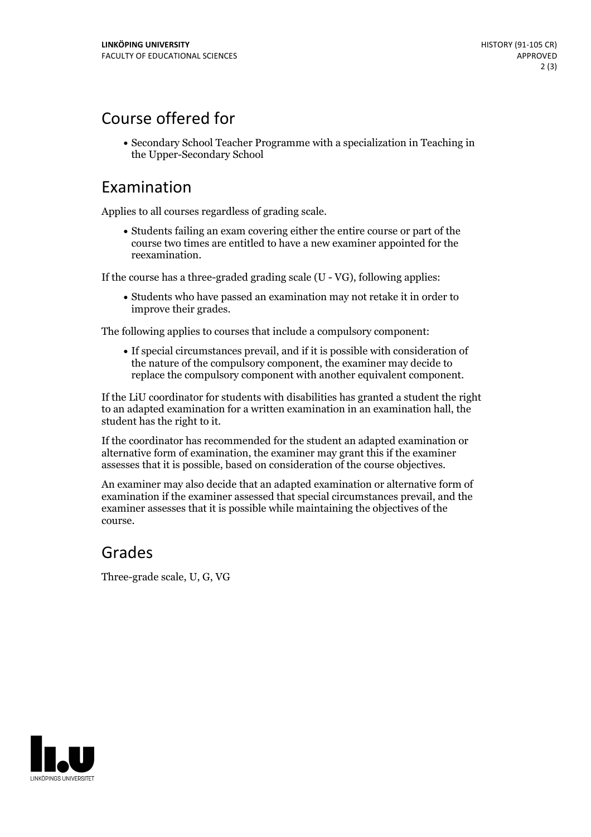# Course offered for

Secondary School Teacher Programme with a specialization in Teaching in the Upper-Secondary School

### Examination

Applies to all courses regardless of grading scale.

Students failing an exam covering either the entire course or part of the course two times are entitled to have a new examiner appointed for the reexamination.

If the course has a three-graded grading scale (U - VG), following applies:

Students who have passed an examination may not retake it in order to improve their grades.

The following applies to courses that include a compulsory component:

If special circumstances prevail, and if it is possible with consideration of the nature of the compulsory component, the examiner may decide to replace the compulsory component with another equivalent component.

If the LiU coordinator for students with disabilities has granted a student the right to an adapted examination for a written examination in an examination hall, the student has the right to it.

If the coordinator has recommended for the student an adapted examination or alternative form of examination, the examiner may grant this if the examiner assesses that it is possible, based on consideration of the course objectives.

An examiner may also decide that an adapted examination or alternative form of examination if the examiner assessed that special circumstances prevail, and the examiner assesses that it is possible while maintaining the objectives of the course.

#### Grades

Three-grade scale, U, G, VG